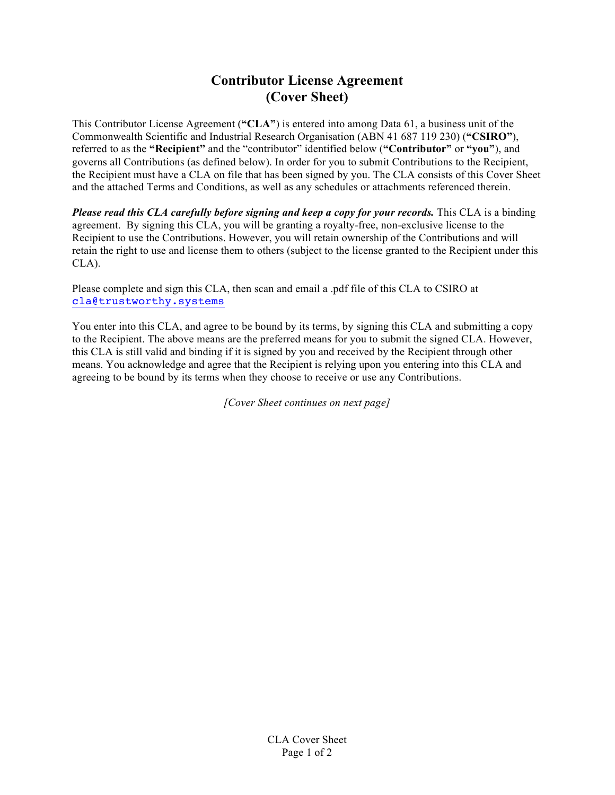# **Contributor License Agreement (Cover Sheet)**

This Contributor License Agreement (**"CLA"**) is entered into among Data 61, a business unit of the Commonwealth Scientific and Industrial Research Organisation (ABN 41 687 119 230) (**"CSIRO"**), referred to as the **"Recipient"** and the "contributor" identified below (**"Contributor"** or **"you"**), and governs all Contributions (as defined below). In order for you to submit Contributions to the Recipient, the Recipient must have a CLA on file that has been signed by you. The CLA consists of this Cover Sheet and the attached Terms and Conditions, as well as any schedules or attachments referenced therein.

*Please read this CLA carefully before signing and keep a copy for your records.* This CLA is a binding agreement. By signing this CLA, you will be granting a royalty-free, non-exclusive license to the Recipient to use the Contributions. However, you will retain ownership of the Contributions and will retain the right to use and license them to others (subject to the license granted to the Recipient under this CLA).

Please complete and sign this CLA, then scan and email a .pdf file of this CLA to CSIRO at cla@trustworthy.systems

You enter into this CLA, and agree to be bound by its terms, by signing this CLA and submitting a copy to the Recipient. The above means are the preferred means for you to submit the signed CLA. However, this CLA is still valid and binding if it is signed by you and received by the Recipient through other means. You acknowledge and agree that the Recipient is relying upon you entering into this CLA and agreeing to be bound by its terms when they choose to receive or use any Contributions.

*[Cover Sheet continues on next page]*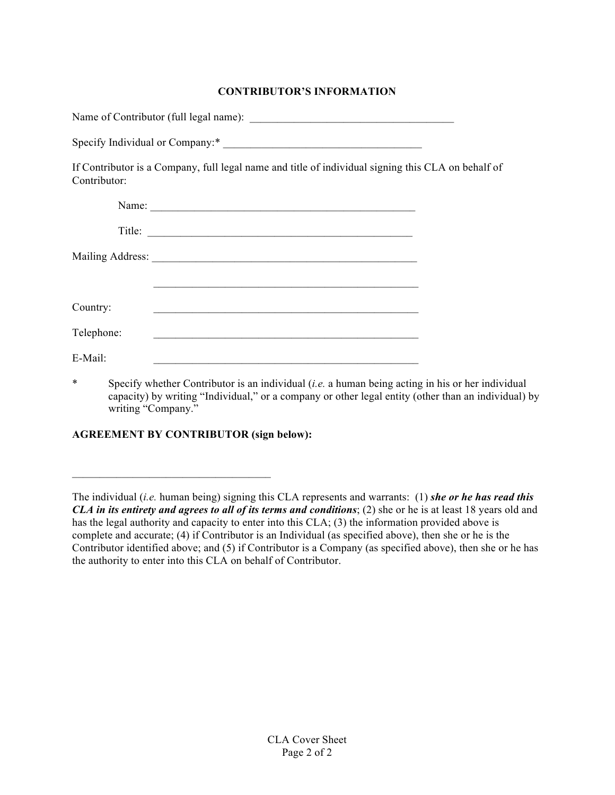#### **CONTRIBUTOR'S INFORMATION**

Name of Contributor (full legal name): \_\_\_\_\_\_\_\_\_\_\_\_\_\_\_\_\_\_\_\_\_\_\_\_\_\_\_\_\_\_\_\_\_\_\_\_\_

Specify Individual or Company:\*

If Contributor is a Company, full legal name and title of individual signing this CLA on behalf of Contributor:

|            | Title: $\qquad \qquad$ |
|------------|------------------------|
|            |                        |
|            |                        |
| Country:   |                        |
| Telephone: |                        |
| E-Mail:    |                        |

\* Specify whether Contributor is an individual (*i.e.* a human being acting in his or her individual capacity) by writing "Individual," or a company or other legal entity (other than an individual) by writing "Company."

#### **AGREEMENT BY CONTRIBUTOR (sign below):**

 $\mathcal{L}_\text{max}$  and the set of the set of the set of the set of the set of the set of the set of the set of the set of the set of the set of the set of the set of the set of the set of the set of the set of the set of the s

The individual (*i.e.* human being) signing this CLA represents and warrants: (1) *she or he has read this CLA in its entirety and agrees to all of its terms and conditions*; (2) she or he is at least 18 years old and has the legal authority and capacity to enter into this CLA; (3) the information provided above is complete and accurate; (4) if Contributor is an Individual (as specified above), then she or he is the Contributor identified above; and (5) if Contributor is a Company (as specified above), then she or he has the authority to enter into this CLA on behalf of Contributor.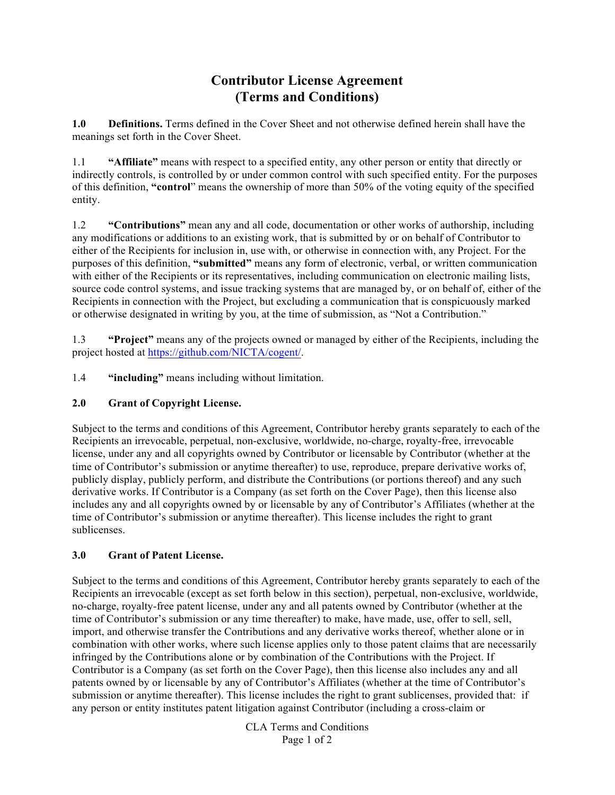## **Contributor License Agreement (Terms and Conditions)**

**1.0 Definitions.** Terms defined in the Cover Sheet and not otherwise defined herein shall have the meanings set forth in the Cover Sheet.

1.1 **"Affiliate"** means with respect to a specified entity, any other person or entity that directly or indirectly controls, is controlled by or under common control with such specified entity. For the purposes of this definition, **"control**" means the ownership of more than 50% of the voting equity of the specified entity.

1.2 **"Contributions"** mean any and all code, documentation or other works of authorship, including any modifications or additions to an existing work, that is submitted by or on behalf of Contributor to either of the Recipients for inclusion in, use with, or otherwise in connection with, any Project. For the purposes of this definition, **"submitted"** means any form of electronic, verbal, or written communication with either of the Recipients or its representatives, including communication on electronic mailing lists, source code control systems, and issue tracking systems that are managed by, or on behalf of, either of the Recipients in connection with the Project, but excluding a communication that is conspicuously marked or otherwise designated in writing by you, at the time of submission, as "Not a Contribution."

1.3 **"Project"** means any of the projects owned or managed by either of the Recipients, including the project hosted at https://github.com/NICTA/cogent/.

1.4 **"including"** means including without limitation.

## **2.0 Grant of Copyright License.**

Subject to the terms and conditions of this Agreement, Contributor hereby grants separately to each of the Recipients an irrevocable, perpetual, non-exclusive, worldwide, no-charge, royalty-free, irrevocable license, under any and all copyrights owned by Contributor or licensable by Contributor (whether at the time of Contributor's submission or anytime thereafter) to use, reproduce, prepare derivative works of, publicly display, publicly perform, and distribute the Contributions (or portions thereof) and any such derivative works. If Contributor is a Company (as set forth on the Cover Page), then this license also includes any and all copyrights owned by or licensable by any of Contributor's Affiliates (whether at the time of Contributor's submission or anytime thereafter). This license includes the right to grant sublicenses.

#### **3.0 Grant of Patent License.**

Subject to the terms and conditions of this Agreement, Contributor hereby grants separately to each of the Recipients an irrevocable (except as set forth below in this section), perpetual, non-exclusive, worldwide, no-charge, royalty-free patent license, under any and all patents owned by Contributor (whether at the time of Contributor's submission or any time thereafter) to make, have made, use, offer to sell, sell, import, and otherwise transfer the Contributions and any derivative works thereof, whether alone or in combination with other works, where such license applies only to those patent claims that are necessarily infringed by the Contributions alone or by combination of the Contributions with the Project. If Contributor is a Company (as set forth on the Cover Page), then this license also includes any and all patents owned by or licensable by any of Contributor's Affiliates (whether at the time of Contributor's submission or anytime thereafter). This license includes the right to grant sublicenses, provided that: if any person or entity institutes patent litigation against Contributor (including a cross-claim or

> CLA Terms and Conditions Page 1 of 2